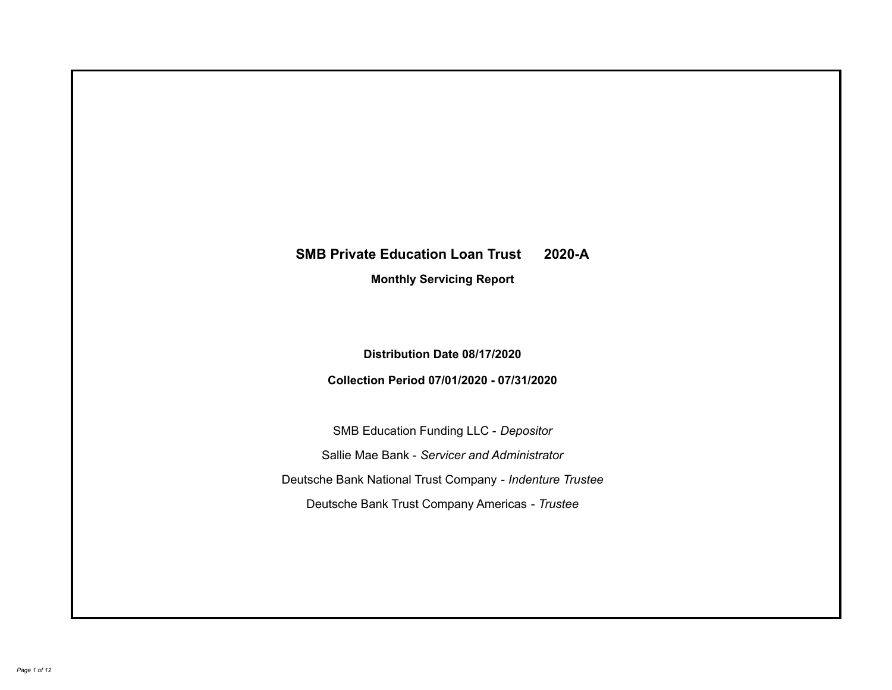# **SMB Private Education Loan Trust 2020-A Monthly Servicing Report**

**Distribution Date 08/17/2020**

**Collection Period 07/01/2020 - 07/31/2020**

SMB Education Funding LLC - *Depositor* Sallie Mae Bank - *Servicer and Administrator* Deutsche Bank National Trust Company - *Indenture Trustee* Deutsche Bank Trust Company Americas - *Trustee*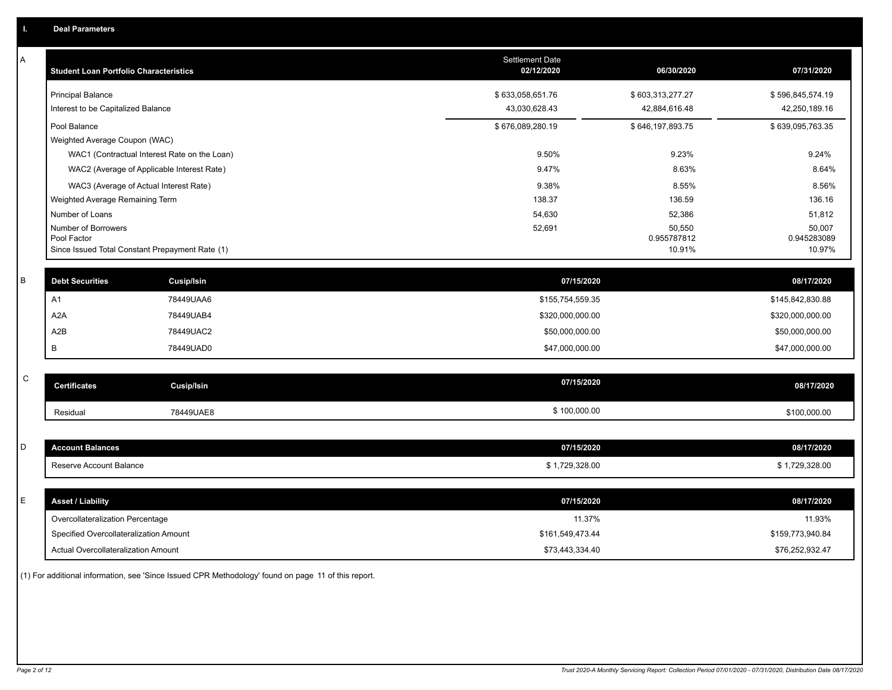| Α | <b>Student Loan Portfolio Characteristics</b>   |                   | Settlement Date<br>02/12/2020 | 06/30/2020            | 07/31/2020            |
|---|-------------------------------------------------|-------------------|-------------------------------|-----------------------|-----------------------|
|   | <b>Principal Balance</b>                        |                   | \$633,058,651.76              | \$603,313,277.27      | \$596,845,574.19      |
|   | Interest to be Capitalized Balance              |                   | 43,030,628.43                 | 42,884,616.48         | 42,250,189.16         |
|   | Pool Balance                                    |                   | \$676,089,280.19              | \$646,197,893.75      | \$639,095,763.35      |
|   | Weighted Average Coupon (WAC)                   |                   |                               |                       |                       |
|   | WAC1 (Contractual Interest Rate on the Loan)    |                   | 9.50%                         | 9.23%                 | 9.24%                 |
|   | WAC2 (Average of Applicable Interest Rate)      |                   | 9.47%                         | 8.63%                 | 8.64%                 |
|   | WAC3 (Average of Actual Interest Rate)          |                   | 9.38%                         | 8.55%                 | 8.56%                 |
|   | Weighted Average Remaining Term                 |                   | 138.37                        | 136.59                | 136.16                |
|   | Number of Loans                                 |                   | 54,630                        | 52,386                | 51,812                |
|   | Number of Borrowers<br>Pool Factor              |                   | 52,691                        | 50,550<br>0.955787812 | 50,007<br>0.945283089 |
|   | Since Issued Total Constant Prepayment Rate (1) |                   |                               | 10.91%                | 10.97%                |
|   |                                                 |                   |                               |                       |                       |
| B | <b>Debt Securities</b>                          | Cusip/Isin        | 07/15/2020                    |                       | 08/17/2020            |
|   | A <sub>1</sub>                                  | 78449UAA6         | \$155,754,559.35              |                       | \$145,842,830.88      |
|   | A <sub>2</sub> A                                | 78449UAB4         | \$320,000,000.00              |                       | \$320,000,000.00      |
|   | A2B                                             | 78449UAC2         | \$50,000,000.00               |                       | \$50,000,000.00       |
|   | В                                               | 78449UAD0         | \$47,000,000.00               |                       | \$47,000,000.00       |
|   |                                                 |                   |                               |                       |                       |
| C | <b>Certificates</b>                             | <b>Cusip/Isin</b> | 07/15/2020                    |                       | 08/17/2020            |
|   | Residual                                        | 78449UAE8         | \$100,000.00                  |                       | \$100,000.00          |
|   |                                                 |                   |                               |                       |                       |
| D | <b>Account Balances</b>                         |                   | 07/15/2020                    |                       | 08/17/2020            |
|   | Reserve Account Balance                         |                   | \$1,729,328.00                |                       | \$1,729,328.00        |
|   |                                                 |                   |                               |                       |                       |
| E | <b>Asset / Liability</b>                        |                   | 07/15/2020                    |                       | 08/17/2020            |
|   | Overcollateralization Percentage                |                   | 11.37%                        |                       | 11.93%                |
|   | Specified Overcollateralization Amount          |                   | \$161,549,473.44              |                       | \$159,773,940.84      |
|   | Actual Overcollateralization Amount             |                   | \$73,443,334.40               |                       | \$76,252,932.47       |

(1) For additional information, see 'Since Issued CPR Methodology' found on page 11 of this report.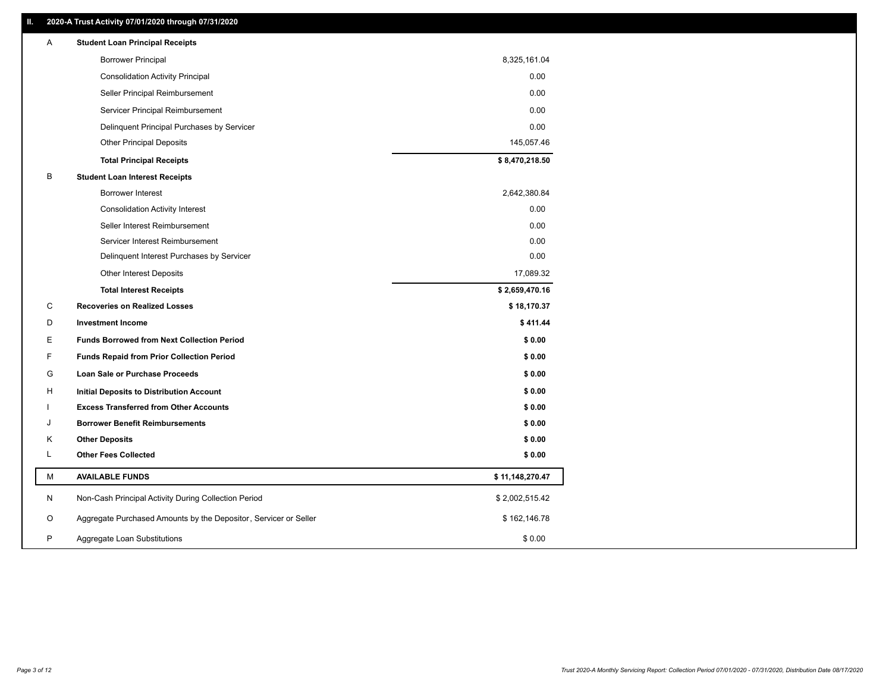| <b>Borrower Principal</b><br>8,325,161.04<br>0.00<br><b>Consolidation Activity Principal</b><br>0.00<br>Seller Principal Reimbursement<br>0.00<br>Servicer Principal Reimbursement<br>0.00<br>Delinquent Principal Purchases by Servicer<br><b>Other Principal Deposits</b><br>145,057.46<br>\$8,470,218.50<br><b>Total Principal Receipts</b><br>В<br><b>Student Loan Interest Receipts</b><br>2,642,380.84<br><b>Borrower Interest</b><br>0.00<br><b>Consolidation Activity Interest</b><br>0.00<br>Seller Interest Reimbursement<br>0.00<br>Servicer Interest Reimbursement<br>0.00<br>Delinquent Interest Purchases by Servicer<br>17,089.32<br><b>Other Interest Deposits</b><br>\$2,659,470.16<br><b>Total Interest Receipts</b><br>С<br>\$18,170.37<br><b>Recoveries on Realized Losses</b><br>D<br><b>Investment Income</b><br>\$411.44<br>Ε<br><b>Funds Borrowed from Next Collection Period</b><br>\$0.00<br>F<br>\$0.00<br><b>Funds Repaid from Prior Collection Period</b><br>G<br>\$0.00<br>Loan Sale or Purchase Proceeds<br>\$0.00<br>H<br>Initial Deposits to Distribution Account<br>\$0.00<br><b>Excess Transferred from Other Accounts</b><br><b>Borrower Benefit Reimbursements</b><br>\$0.00<br>J<br><b>Other Deposits</b><br>\$0.00<br>Κ<br>L<br><b>Other Fees Collected</b><br>\$0.00<br>М<br><b>AVAILABLE FUNDS</b><br>\$11,148,270.47<br>N<br>Non-Cash Principal Activity During Collection Period<br>\$2,002,515.42<br>Aggregate Purchased Amounts by the Depositor, Servicer or Seller<br>O<br>\$162,146.78<br>P<br>Aggregate Loan Substitutions<br>\$0.00 | Α | <b>Student Loan Principal Receipts</b> |  |
|---------------------------------------------------------------------------------------------------------------------------------------------------------------------------------------------------------------------------------------------------------------------------------------------------------------------------------------------------------------------------------------------------------------------------------------------------------------------------------------------------------------------------------------------------------------------------------------------------------------------------------------------------------------------------------------------------------------------------------------------------------------------------------------------------------------------------------------------------------------------------------------------------------------------------------------------------------------------------------------------------------------------------------------------------------------------------------------------------------------------------------------------------------------------------------------------------------------------------------------------------------------------------------------------------------------------------------------------------------------------------------------------------------------------------------------------------------------------------------------------------------------------------------------------------------------------------------------|---|----------------------------------------|--|
|                                                                                                                                                                                                                                                                                                                                                                                                                                                                                                                                                                                                                                                                                                                                                                                                                                                                                                                                                                                                                                                                                                                                                                                                                                                                                                                                                                                                                                                                                                                                                                                       |   |                                        |  |
|                                                                                                                                                                                                                                                                                                                                                                                                                                                                                                                                                                                                                                                                                                                                                                                                                                                                                                                                                                                                                                                                                                                                                                                                                                                                                                                                                                                                                                                                                                                                                                                       |   |                                        |  |
|                                                                                                                                                                                                                                                                                                                                                                                                                                                                                                                                                                                                                                                                                                                                                                                                                                                                                                                                                                                                                                                                                                                                                                                                                                                                                                                                                                                                                                                                                                                                                                                       |   |                                        |  |
|                                                                                                                                                                                                                                                                                                                                                                                                                                                                                                                                                                                                                                                                                                                                                                                                                                                                                                                                                                                                                                                                                                                                                                                                                                                                                                                                                                                                                                                                                                                                                                                       |   |                                        |  |
|                                                                                                                                                                                                                                                                                                                                                                                                                                                                                                                                                                                                                                                                                                                                                                                                                                                                                                                                                                                                                                                                                                                                                                                                                                                                                                                                                                                                                                                                                                                                                                                       |   |                                        |  |
|                                                                                                                                                                                                                                                                                                                                                                                                                                                                                                                                                                                                                                                                                                                                                                                                                                                                                                                                                                                                                                                                                                                                                                                                                                                                                                                                                                                                                                                                                                                                                                                       |   |                                        |  |
|                                                                                                                                                                                                                                                                                                                                                                                                                                                                                                                                                                                                                                                                                                                                                                                                                                                                                                                                                                                                                                                                                                                                                                                                                                                                                                                                                                                                                                                                                                                                                                                       |   |                                        |  |
|                                                                                                                                                                                                                                                                                                                                                                                                                                                                                                                                                                                                                                                                                                                                                                                                                                                                                                                                                                                                                                                                                                                                                                                                                                                                                                                                                                                                                                                                                                                                                                                       |   |                                        |  |
|                                                                                                                                                                                                                                                                                                                                                                                                                                                                                                                                                                                                                                                                                                                                                                                                                                                                                                                                                                                                                                                                                                                                                                                                                                                                                                                                                                                                                                                                                                                                                                                       |   |                                        |  |
|                                                                                                                                                                                                                                                                                                                                                                                                                                                                                                                                                                                                                                                                                                                                                                                                                                                                                                                                                                                                                                                                                                                                                                                                                                                                                                                                                                                                                                                                                                                                                                                       |   |                                        |  |
|                                                                                                                                                                                                                                                                                                                                                                                                                                                                                                                                                                                                                                                                                                                                                                                                                                                                                                                                                                                                                                                                                                                                                                                                                                                                                                                                                                                                                                                                                                                                                                                       |   |                                        |  |
|                                                                                                                                                                                                                                                                                                                                                                                                                                                                                                                                                                                                                                                                                                                                                                                                                                                                                                                                                                                                                                                                                                                                                                                                                                                                                                                                                                                                                                                                                                                                                                                       |   |                                        |  |
|                                                                                                                                                                                                                                                                                                                                                                                                                                                                                                                                                                                                                                                                                                                                                                                                                                                                                                                                                                                                                                                                                                                                                                                                                                                                                                                                                                                                                                                                                                                                                                                       |   |                                        |  |
|                                                                                                                                                                                                                                                                                                                                                                                                                                                                                                                                                                                                                                                                                                                                                                                                                                                                                                                                                                                                                                                                                                                                                                                                                                                                                                                                                                                                                                                                                                                                                                                       |   |                                        |  |
|                                                                                                                                                                                                                                                                                                                                                                                                                                                                                                                                                                                                                                                                                                                                                                                                                                                                                                                                                                                                                                                                                                                                                                                                                                                                                                                                                                                                                                                                                                                                                                                       |   |                                        |  |
|                                                                                                                                                                                                                                                                                                                                                                                                                                                                                                                                                                                                                                                                                                                                                                                                                                                                                                                                                                                                                                                                                                                                                                                                                                                                                                                                                                                                                                                                                                                                                                                       |   |                                        |  |
|                                                                                                                                                                                                                                                                                                                                                                                                                                                                                                                                                                                                                                                                                                                                                                                                                                                                                                                                                                                                                                                                                                                                                                                                                                                                                                                                                                                                                                                                                                                                                                                       |   |                                        |  |
|                                                                                                                                                                                                                                                                                                                                                                                                                                                                                                                                                                                                                                                                                                                                                                                                                                                                                                                                                                                                                                                                                                                                                                                                                                                                                                                                                                                                                                                                                                                                                                                       |   |                                        |  |
|                                                                                                                                                                                                                                                                                                                                                                                                                                                                                                                                                                                                                                                                                                                                                                                                                                                                                                                                                                                                                                                                                                                                                                                                                                                                                                                                                                                                                                                                                                                                                                                       |   |                                        |  |
|                                                                                                                                                                                                                                                                                                                                                                                                                                                                                                                                                                                                                                                                                                                                                                                                                                                                                                                                                                                                                                                                                                                                                                                                                                                                                                                                                                                                                                                                                                                                                                                       |   |                                        |  |
|                                                                                                                                                                                                                                                                                                                                                                                                                                                                                                                                                                                                                                                                                                                                                                                                                                                                                                                                                                                                                                                                                                                                                                                                                                                                                                                                                                                                                                                                                                                                                                                       |   |                                        |  |
|                                                                                                                                                                                                                                                                                                                                                                                                                                                                                                                                                                                                                                                                                                                                                                                                                                                                                                                                                                                                                                                                                                                                                                                                                                                                                                                                                                                                                                                                                                                                                                                       |   |                                        |  |
|                                                                                                                                                                                                                                                                                                                                                                                                                                                                                                                                                                                                                                                                                                                                                                                                                                                                                                                                                                                                                                                                                                                                                                                                                                                                                                                                                                                                                                                                                                                                                                                       |   |                                        |  |
|                                                                                                                                                                                                                                                                                                                                                                                                                                                                                                                                                                                                                                                                                                                                                                                                                                                                                                                                                                                                                                                                                                                                                                                                                                                                                                                                                                                                                                                                                                                                                                                       |   |                                        |  |
|                                                                                                                                                                                                                                                                                                                                                                                                                                                                                                                                                                                                                                                                                                                                                                                                                                                                                                                                                                                                                                                                                                                                                                                                                                                                                                                                                                                                                                                                                                                                                                                       |   |                                        |  |
|                                                                                                                                                                                                                                                                                                                                                                                                                                                                                                                                                                                                                                                                                                                                                                                                                                                                                                                                                                                                                                                                                                                                                                                                                                                                                                                                                                                                                                                                                                                                                                                       |   |                                        |  |
|                                                                                                                                                                                                                                                                                                                                                                                                                                                                                                                                                                                                                                                                                                                                                                                                                                                                                                                                                                                                                                                                                                                                                                                                                                                                                                                                                                                                                                                                                                                                                                                       |   |                                        |  |
|                                                                                                                                                                                                                                                                                                                                                                                                                                                                                                                                                                                                                                                                                                                                                                                                                                                                                                                                                                                                                                                                                                                                                                                                                                                                                                                                                                                                                                                                                                                                                                                       |   |                                        |  |
|                                                                                                                                                                                                                                                                                                                                                                                                                                                                                                                                                                                                                                                                                                                                                                                                                                                                                                                                                                                                                                                                                                                                                                                                                                                                                                                                                                                                                                                                                                                                                                                       |   |                                        |  |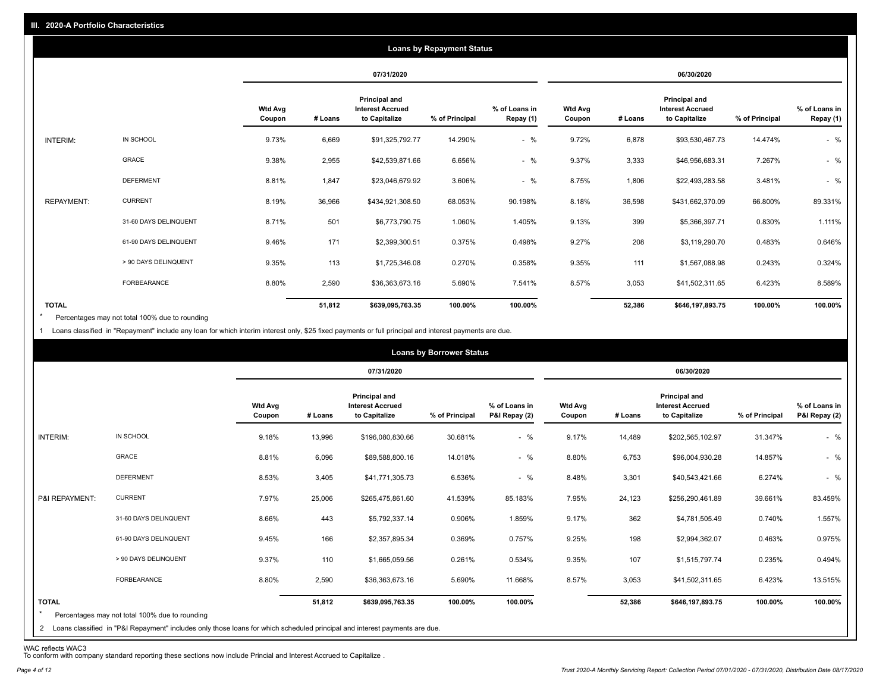|                   |                       |                          |         |                                                                  | <b>Loans by Repayment Status</b> |                            |                          |         |                                                                  |                |                            |
|-------------------|-----------------------|--------------------------|---------|------------------------------------------------------------------|----------------------------------|----------------------------|--------------------------|---------|------------------------------------------------------------------|----------------|----------------------------|
|                   |                       |                          |         | 07/31/2020                                                       |                                  |                            |                          |         | 06/30/2020                                                       |                |                            |
|                   |                       | <b>Wtd Avg</b><br>Coupon | # Loans | <b>Principal and</b><br><b>Interest Accrued</b><br>to Capitalize | % of Principal                   | % of Loans in<br>Repay (1) | <b>Wtd Avg</b><br>Coupon | # Loans | <b>Principal and</b><br><b>Interest Accrued</b><br>to Capitalize | % of Principal | % of Loans in<br>Repay (1) |
| INTERIM:          | IN SCHOOL             | 9.73%                    | 6,669   | \$91,325,792.77                                                  | 14.290%                          | $-$ %                      | 9.72%                    | 6,878   | \$93,530,467.73                                                  | 14.474%        | $-$ %                      |
|                   | GRACE                 | 9.38%                    | 2,955   | \$42,539,871.66                                                  | 6.656%                           | $-$ %                      | 9.37%                    | 3,333   | \$46,956,683.31                                                  | 7.267%         | $-$ %                      |
|                   | <b>DEFERMENT</b>      | 8.81%                    | 1,847   | \$23,046,679.92                                                  | 3.606%                           | $-$ %                      | 8.75%                    | 1,806   | \$22,493,283.58                                                  | 3.481%         | $-$ %                      |
| <b>REPAYMENT:</b> | <b>CURRENT</b>        | 8.19%                    | 36,966  | \$434,921,308.50                                                 | 68.053%                          | 90.198%                    | 8.18%                    | 36,598  | \$431,662,370.09                                                 | 66.800%        | 89.331%                    |
|                   | 31-60 DAYS DELINQUENT | 8.71%                    | 501     | \$6,773,790.75                                                   | 1.060%                           | 1.405%                     | 9.13%                    | 399     | \$5,366,397.71                                                   | 0.830%         | 1.111%                     |
|                   | 61-90 DAYS DELINQUENT | 9.46%                    | 171     | \$2,399,300.51                                                   | 0.375%                           | 0.498%                     | 9.27%                    | 208     | \$3,119,290.70                                                   | 0.483%         | 0.646%                     |
|                   | > 90 DAYS DELINQUENT  | 9.35%                    | 113     | \$1,725,346.08                                                   | 0.270%                           | 0.358%                     | 9.35%                    | 111     | \$1,567,088.98                                                   | 0.243%         | 0.324%                     |
|                   | FORBEARANCE           | 8.80%                    | 2,590   | \$36,363,673.16                                                  | 5.690%                           | 7.541%                     | 8.57%                    | 3,053   | \$41,502,311.65                                                  | 6.423%         | 8.589%                     |
| <b>TOTAL</b>      |                       |                          | 51,812  | \$639,095,763.35                                                 | 100.00%                          | 100.00%                    |                          | 52,386  | \$646,197,893.75                                                 | 100.00%        | 100.00%                    |

Percentages may not total 100% due to rounding \*

1 Loans classified in "Repayment" include any loan for which interim interest only, \$25 fixed payments or full principal and interest payments are due.

|                                |                                                                                                                                                                              |                          |         |                                                           | <b>Loans by Borrower Status</b> |                                |                          |         |                                                           |                |                                |
|--------------------------------|------------------------------------------------------------------------------------------------------------------------------------------------------------------------------|--------------------------|---------|-----------------------------------------------------------|---------------------------------|--------------------------------|--------------------------|---------|-----------------------------------------------------------|----------------|--------------------------------|
|                                |                                                                                                                                                                              |                          |         | 07/31/2020                                                |                                 |                                |                          |         | 06/30/2020                                                |                |                                |
|                                |                                                                                                                                                                              | <b>Wtd Avg</b><br>Coupon | # Loans | Principal and<br><b>Interest Accrued</b><br>to Capitalize | % of Principal                  | % of Loans in<br>P&I Repay (2) | <b>Wtd Avg</b><br>Coupon | # Loans | Principal and<br><b>Interest Accrued</b><br>to Capitalize | % of Principal | % of Loans in<br>P&I Repay (2) |
| INTERIM:                       | IN SCHOOL                                                                                                                                                                    | 9.18%                    | 13,996  | \$196,080,830.66                                          | 30.681%                         | $-$ %                          | 9.17%                    | 14,489  | \$202,565,102.97                                          | 31.347%        | $-$ %                          |
|                                | <b>GRACE</b>                                                                                                                                                                 | 8.81%                    | 6,096   | \$89,588,800.16                                           | 14.018%                         | $-$ %                          | 8.80%                    | 6,753   | \$96,004,930.28                                           | 14.857%        | $-$ %                          |
|                                | <b>DEFERMENT</b>                                                                                                                                                             | 8.53%                    | 3,405   | \$41,771,305.73                                           | 6.536%                          | $-$ %                          | 8.48%                    | 3,301   | \$40,543,421.66                                           | 6.274%         | $-$ %                          |
| P&I REPAYMENT:                 | <b>CURRENT</b>                                                                                                                                                               | 7.97%                    | 25,006  | \$265,475,861.60                                          | 41.539%                         | 85.183%                        | 7.95%                    | 24,123  | \$256,290,461.89                                          | 39.661%        | 83.459%                        |
|                                | 31-60 DAYS DELINQUENT                                                                                                                                                        | 8.66%                    | 443     | \$5,792,337.14                                            | 0.906%                          | 1.859%                         | 9.17%                    | 362     | \$4,781,505.49                                            | 0.740%         | 1.557%                         |
|                                | 61-90 DAYS DELINQUENT                                                                                                                                                        | 9.45%                    | 166     | \$2,357,895.34                                            | 0.369%                          | 0.757%                         | 9.25%                    | 198     | \$2,994,362.07                                            | 0.463%         | 0.975%                         |
|                                | > 90 DAYS DELINQUENT                                                                                                                                                         | 9.37%                    | 110     | \$1,665,059.56                                            | 0.261%                          | 0.534%                         | 9.35%                    | 107     | \$1,515,797.74                                            | 0.235%         | 0.494%                         |
|                                | FORBEARANCE                                                                                                                                                                  | 8.80%                    | 2,590   | \$36,363,673.16                                           | 5.690%                          | 11.668%                        | 8.57%                    | 3,053   | \$41,502,311.65                                           | 6.423%         | 13.515%                        |
| <b>TOTAL</b><br>$\overline{2}$ | Percentages may not total 100% due to rounding<br>Loans classified in "P&I Repayment" includes only those loans for which scheduled principal and interest payments are due. |                          | 51,812  | \$639,095,763.35                                          | 100.00%                         | 100.00%                        |                          | 52,386  | \$646,197,893.75                                          | 100.00%        | 100.00%                        |

WAC reflects WAC3 To conform with company standard reporting these sections now include Princial and Interest Accrued to Capitalize .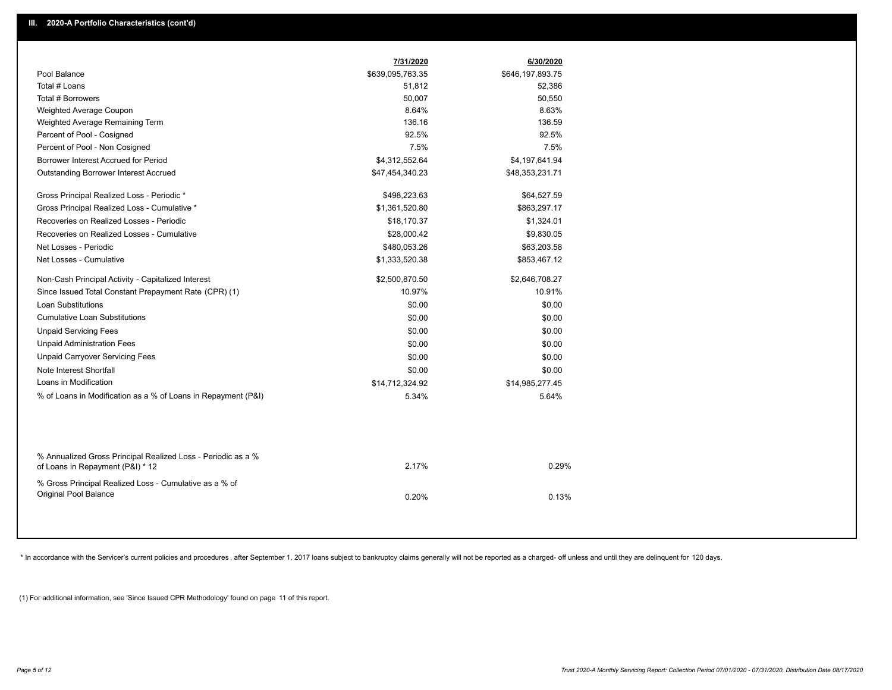|                                                                                                  | 7/31/2020        | 6/30/2020        |
|--------------------------------------------------------------------------------------------------|------------------|------------------|
| Pool Balance                                                                                     | \$639,095,763.35 | \$646,197,893.75 |
| Total # Loans                                                                                    | 51,812           | 52,386           |
| Total # Borrowers                                                                                | 50,007           | 50,550           |
| Weighted Average Coupon                                                                          | 8.64%            | 8.63%            |
| Weighted Average Remaining Term                                                                  | 136.16           | 136.59           |
| Percent of Pool - Cosigned                                                                       | 92.5%            | 92.5%            |
| Percent of Pool - Non Cosigned                                                                   | 7.5%             | 7.5%             |
| Borrower Interest Accrued for Period                                                             | \$4,312,552.64   | \$4,197,641.94   |
| <b>Outstanding Borrower Interest Accrued</b>                                                     | \$47,454,340.23  | \$48,353,231.71  |
| Gross Principal Realized Loss - Periodic *                                                       | \$498,223.63     | \$64,527.59      |
| Gross Principal Realized Loss - Cumulative *                                                     | \$1,361,520.80   | \$863,297.17     |
| Recoveries on Realized Losses - Periodic                                                         | \$18,170.37      | \$1,324.01       |
| Recoveries on Realized Losses - Cumulative                                                       | \$28,000.42      | \$9,830.05       |
| Net Losses - Periodic                                                                            | \$480,053.26     | \$63,203.58      |
| Net Losses - Cumulative                                                                          | \$1,333,520.38   | \$853,467.12     |
| Non-Cash Principal Activity - Capitalized Interest                                               | \$2,500,870.50   | \$2,646,708.27   |
| Since Issued Total Constant Prepayment Rate (CPR) (1)                                            | 10.97%           | 10.91%           |
| <b>Loan Substitutions</b>                                                                        | \$0.00           | \$0.00           |
| <b>Cumulative Loan Substitutions</b>                                                             | \$0.00           | \$0.00           |
| <b>Unpaid Servicing Fees</b>                                                                     | \$0.00           | \$0.00           |
| <b>Unpaid Administration Fees</b>                                                                | \$0.00           | \$0.00           |
| <b>Unpaid Carryover Servicing Fees</b>                                                           | \$0.00           | \$0.00           |
| Note Interest Shortfall                                                                          | \$0.00           | \$0.00           |
| Loans in Modification                                                                            | \$14,712,324.92  | \$14,985,277.45  |
| % of Loans in Modification as a % of Loans in Repayment (P&I)                                    | 5.34%            | 5.64%            |
|                                                                                                  |                  |                  |
| % Annualized Gross Principal Realized Loss - Periodic as a %<br>of Loans in Repayment (P&I) * 12 | 2.17%            | 0.29%            |
| % Gross Principal Realized Loss - Cumulative as a % of<br>Original Pool Balance                  | 0.20%            | 0.13%            |
|                                                                                                  |                  |                  |

\* In accordance with the Servicer's current policies and procedures, after September 1, 2017 loans subject to bankruptcy claims generally will not be reported as a charged- off unless and until they are delinquent for 120

(1) For additional information, see 'Since Issued CPR Methodology' found on page 11 of this report.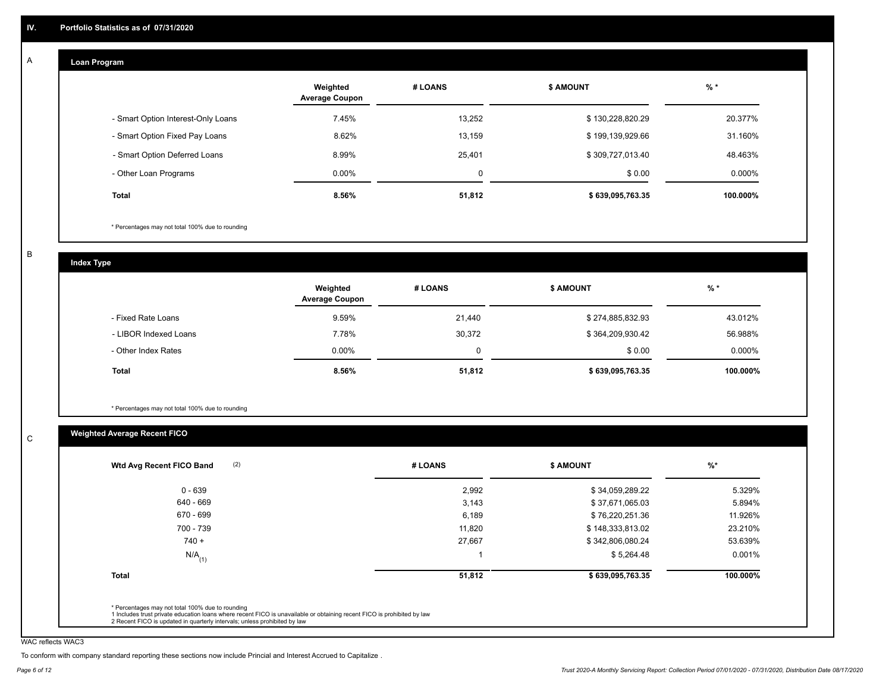#### **Loan Program**  A

|                                    | Weighted<br><b>Average Coupon</b> | # LOANS     | <b>\$ AMOUNT</b> | $%$ *    |
|------------------------------------|-----------------------------------|-------------|------------------|----------|
| - Smart Option Interest-Only Loans | 7.45%                             | 13,252      | \$130,228,820.29 | 20.377%  |
| - Smart Option Fixed Pay Loans     | 8.62%                             | 13,159      | \$199,139,929.66 | 31.160%  |
| - Smart Option Deferred Loans      | 8.99%                             | 25.401      | \$309,727,013.40 | 48.463%  |
| - Other Loan Programs              | $0.00\%$                          | $\mathbf 0$ | \$0.00           | 0.000%   |
| Total                              | 8.56%                             | 51,812      | \$639,095,763.35 | 100.000% |

\* Percentages may not total 100% due to rounding

B

C

**Index Type**

|                       | Weighted<br><b>Average Coupon</b> | # LOANS | <b>S AMOUNT</b>  | % *      |
|-----------------------|-----------------------------------|---------|------------------|----------|
| - Fixed Rate Loans    | 9.59%                             | 21,440  | \$274,885,832.93 | 43.012%  |
| - LIBOR Indexed Loans | 7.78%                             | 30,372  | \$364,209,930.42 | 56.988%  |
| - Other Index Rates   | $0.00\%$                          | O       | \$0.00           | 0.000%   |
| Total                 | 8.56%                             | 51,812  | \$639,095,763.35 | 100.000% |

\* Percentages may not total 100% due to rounding

## **Weighted Average Recent FICO**

|                      | # LOANS | <b>\$ AMOUNT</b> | $%$ *    |
|----------------------|---------|------------------|----------|
| $0 - 639$            | 2,992   | \$34,059,289.22  | 5.329%   |
| 640 - 669            | 3,143   | \$37,671,065.03  | 5.894%   |
| 670 - 699            | 6,189   | \$76,220,251.36  | 11.926%  |
| 700 - 739            | 11.820  | \$148,333,813.02 | 23.210%  |
| $740 +$              | 27,667  | \$342,806,080.24 | 53.639%  |
| $N/A$ <sub>(1)</sub> |         | \$5,264.48       | 0.001%   |
| <b>Total</b>         | 51,812  | \$639,095,763.35 | 100.000% |

WAC reflects WAC3

To conform with company standard reporting these sections now include Princial and Interest Accrued to Capitalize .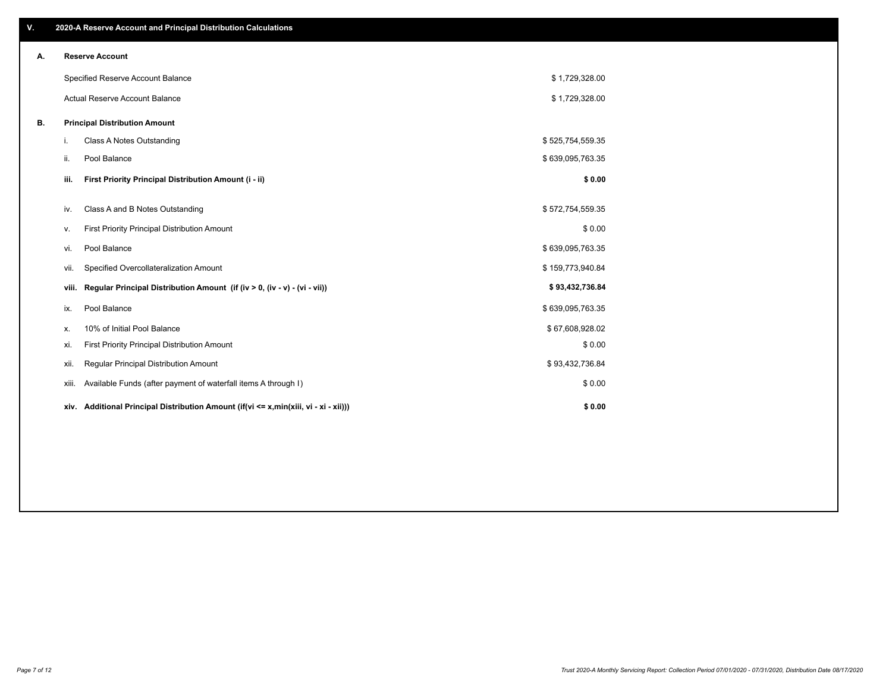| V. |       | 2020-A Reserve Account and Principal Distribution Calculations                       |                  |  |
|----|-------|--------------------------------------------------------------------------------------|------------------|--|
| А. |       | <b>Reserve Account</b>                                                               |                  |  |
|    |       | Specified Reserve Account Balance                                                    | \$1,729,328.00   |  |
|    |       | Actual Reserve Account Balance                                                       | \$1,729,328.00   |  |
| В. |       | <b>Principal Distribution Amount</b>                                                 |                  |  |
|    | i.    | <b>Class A Notes Outstanding</b>                                                     | \$525,754,559.35 |  |
|    | ii.   | Pool Balance                                                                         | \$639,095,763.35 |  |
|    | iii.  | First Priority Principal Distribution Amount (i - ii)                                | \$0.00           |  |
|    | iv.   | Class A and B Notes Outstanding                                                      | \$572,754,559.35 |  |
|    | ٧.    | First Priority Principal Distribution Amount                                         | \$0.00           |  |
|    | vi.   | Pool Balance                                                                         | \$639,095,763.35 |  |
|    | vii.  | Specified Overcollateralization Amount                                               | \$159,773,940.84 |  |
|    | viii. | Regular Principal Distribution Amount (if (iv > 0, (iv - v) - (vi - vii))            | \$93,432,736.84  |  |
|    | ix.   | Pool Balance                                                                         | \$639,095,763.35 |  |
|    | х.    | 10% of Initial Pool Balance                                                          | \$67,608,928.02  |  |
|    | xi.   | First Priority Principal Distribution Amount                                         | \$0.00           |  |
|    | xii.  | Regular Principal Distribution Amount                                                | \$93,432,736.84  |  |
|    | xiii. | Available Funds (after payment of waterfall items A through I)                       | \$0.00           |  |
|    |       | xiv. Additional Principal Distribution Amount (if(vi <= x,min(xiii, vi - xi - xii))) | \$0.00           |  |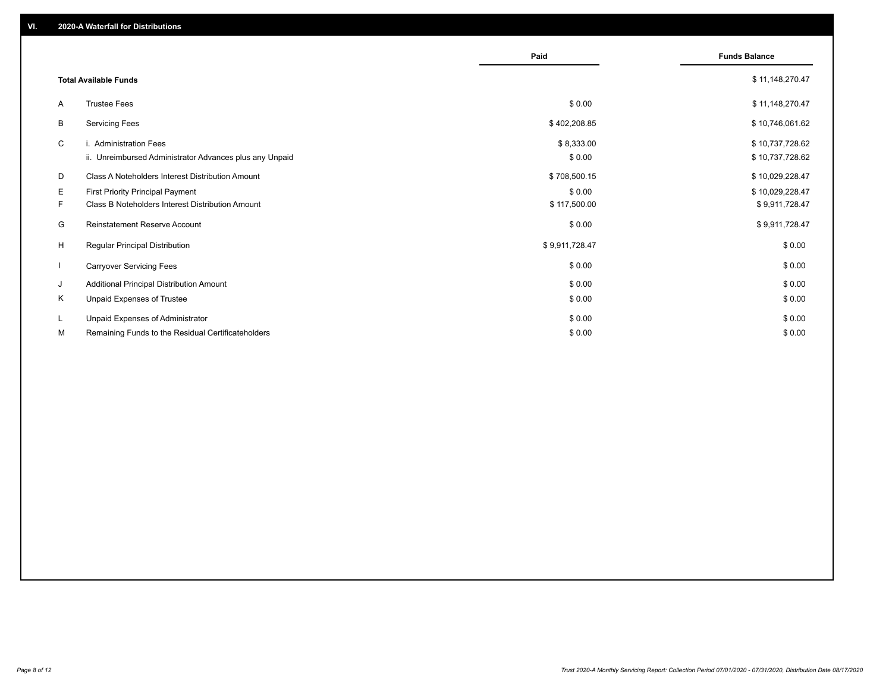|                          |                                                                                   | Paid                 | <b>Funds Balance</b>               |
|--------------------------|-----------------------------------------------------------------------------------|----------------------|------------------------------------|
|                          | <b>Total Available Funds</b>                                                      |                      | \$11,148,270.47                    |
| A                        | <b>Trustee Fees</b>                                                               | \$0.00               | \$11,148,270.47                    |
| В                        | <b>Servicing Fees</b>                                                             | \$402,208.85         | \$10,746,061.62                    |
| C                        | i. Administration Fees<br>ii. Unreimbursed Administrator Advances plus any Unpaid | \$8,333.00<br>\$0.00 | \$10,737,728.62<br>\$10,737,728.62 |
| D                        | Class A Noteholders Interest Distribution Amount                                  | \$708,500.15         | \$10,029,228.47                    |
| Е                        | <b>First Priority Principal Payment</b>                                           | \$0.00               | \$10,029,228.47                    |
| F.                       | Class B Noteholders Interest Distribution Amount                                  | \$117,500.00         | \$9,911,728.47                     |
| G                        | <b>Reinstatement Reserve Account</b>                                              | \$0.00               | \$9,911,728.47                     |
| H                        | Regular Principal Distribution                                                    | \$9,911,728.47       | \$0.00                             |
| $\overline{\phantom{a}}$ | <b>Carryover Servicing Fees</b>                                                   | \$0.00               | \$0.00                             |
| J                        | Additional Principal Distribution Amount                                          | \$0.00               | \$0.00                             |
| Κ                        | Unpaid Expenses of Trustee                                                        | \$0.00               | \$0.00                             |
| L                        | Unpaid Expenses of Administrator                                                  | \$0.00               | \$0.00                             |
| М                        | Remaining Funds to the Residual Certificateholders                                | \$0.00               | \$0.00                             |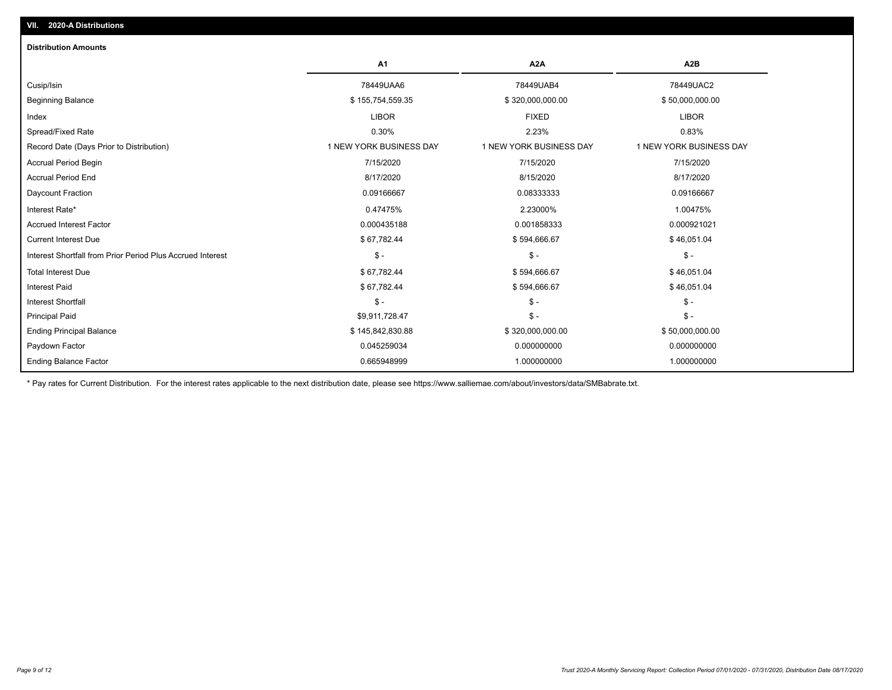| <b>Distribution Amounts</b>                                |                         |                         |                         |
|------------------------------------------------------------|-------------------------|-------------------------|-------------------------|
|                                                            | A1                      | A <sub>2</sub> A        | A <sub>2</sub> B        |
| Cusip/Isin                                                 | 78449UAA6               | 78449UAB4               | 78449UAC2               |
| <b>Beginning Balance</b>                                   | \$155,754,559.35        | \$320,000,000.00        | \$50,000,000.00         |
| Index                                                      | <b>LIBOR</b>            | <b>FIXED</b>            | <b>LIBOR</b>            |
| Spread/Fixed Rate                                          | 0.30%                   | 2.23%                   | 0.83%                   |
| Record Date (Days Prior to Distribution)                   | 1 NEW YORK BUSINESS DAY | 1 NEW YORK BUSINESS DAY | 1 NEW YORK BUSINESS DAY |
| <b>Accrual Period Begin</b>                                | 7/15/2020               | 7/15/2020               | 7/15/2020               |
| <b>Accrual Period End</b>                                  | 8/17/2020               | 8/15/2020               | 8/17/2020               |
| Daycount Fraction                                          | 0.09166667              | 0.08333333              | 0.09166667              |
| Interest Rate*                                             | 0.47475%                | 2.23000%                | 1.00475%                |
| <b>Accrued Interest Factor</b>                             | 0.000435188             | 0.001858333             | 0.000921021             |
| <b>Current Interest Due</b>                                | \$67,782.44             | \$594,666.67            | \$46,051.04             |
| Interest Shortfall from Prior Period Plus Accrued Interest | $\mathsf{\$}$ -         | $\mathcal{S}$ -         | $\mathcal{S}$ -         |
| <b>Total Interest Due</b>                                  | \$67,782.44             | \$594,666.67            | \$46,051.04             |
| <b>Interest Paid</b>                                       | \$67,782.44             | \$594,666.67            | \$46,051.04             |
| Interest Shortfall                                         | $$ -$                   | $\mathsf{\$}$ -         | $\mathsf{\$}$ -         |
| <b>Principal Paid</b>                                      | \$9,911,728.47          | $\mathsf{\$}$ -         | $\mathsf{\$}$ -         |
| <b>Ending Principal Balance</b>                            | \$145,842,830.88        | \$320,000,000.00        | \$50,000,000.00         |
| Paydown Factor                                             | 0.045259034             | 0.000000000             | 0.000000000             |
| <b>Ending Balance Factor</b>                               | 0.665948999             | 1.000000000             | 1.000000000             |

\* Pay rates for Current Distribution. For the interest rates applicable to the next distribution date, please see https://www.salliemae.com/about/investors/data/SMBabrate.txt.

**VII. 2020-A Distributions**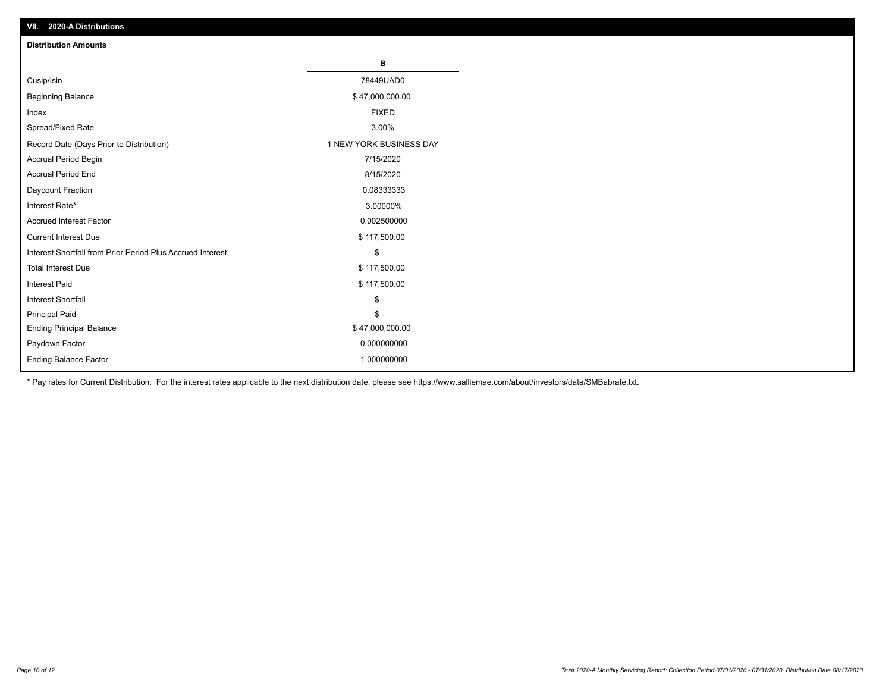| VII. 2020-A Distributions                                  |                         |
|------------------------------------------------------------|-------------------------|
| <b>Distribution Amounts</b>                                |                         |
|                                                            | В                       |
| Cusip/Isin                                                 | 78449UAD0               |
| <b>Beginning Balance</b>                                   | \$47,000,000.00         |
| Index                                                      | <b>FIXED</b>            |
| Spread/Fixed Rate                                          | 3.00%                   |
| Record Date (Days Prior to Distribution)                   | 1 NEW YORK BUSINESS DAY |
| Accrual Period Begin                                       | 7/15/2020               |
| <b>Accrual Period End</b>                                  | 8/15/2020               |
| Daycount Fraction                                          | 0.08333333              |
| Interest Rate*                                             | 3.00000%                |
| <b>Accrued Interest Factor</b>                             | 0.002500000             |
| <b>Current Interest Due</b>                                | \$117,500.00            |
| Interest Shortfall from Prior Period Plus Accrued Interest | $\mathcal{S}$ -         |
| <b>Total Interest Due</b>                                  | \$117,500.00            |
| <b>Interest Paid</b>                                       | \$117,500.00            |
| Interest Shortfall                                         | $\mathbb{S}$ -          |
| <b>Principal Paid</b>                                      | $\frac{1}{2}$           |
| <b>Ending Principal Balance</b>                            | \$47,000,000.00         |
| Paydown Factor                                             | 0.000000000             |
| <b>Ending Balance Factor</b>                               | 1.000000000             |

\* Pay rates for Current Distribution. For the interest rates applicable to the next distribution date, please see https://www.salliemae.com/about/investors/data/SMBabrate.txt.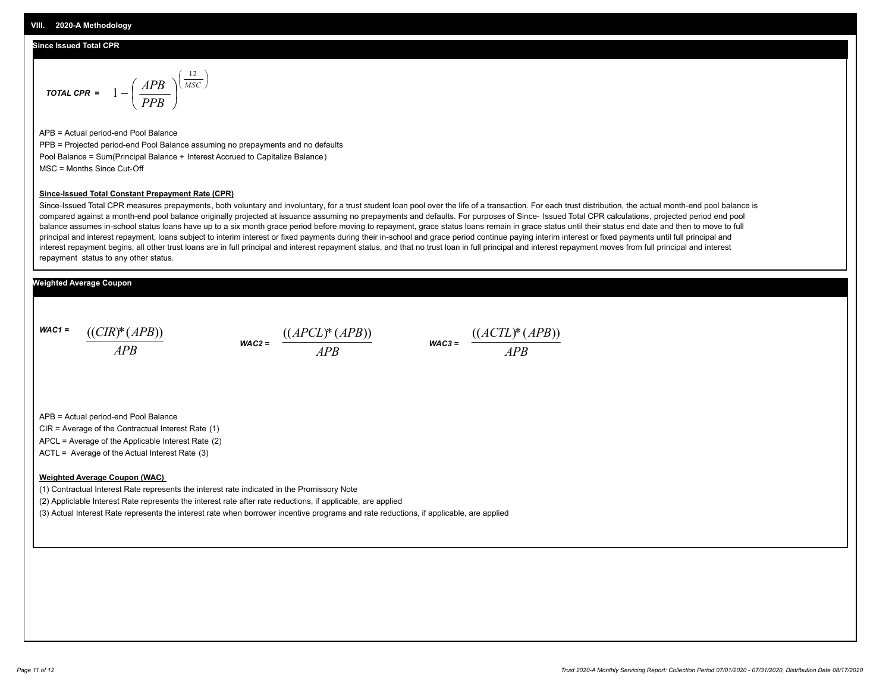#### **Since Issued Total CPR**

$$
\text{total CPR} = 1 - \left(\frac{APB}{PPB}\right)^{\left(\frac{12}{MSC}\right)}
$$

APB = Actual period-end Pool Balance PPB = Projected period-end Pool Balance assuming no prepayments and no defaults Pool Balance = Sum(Principal Balance + Interest Accrued to Capitalize Balance) MSC = Months Since Cut-Off

#### **Since-Issued Total Constant Prepayment Rate (CPR)**

Since-Issued Total CPR measures prepayments, both voluntary and involuntary, for a trust student loan pool over the life of a transaction. For each trust distribution, the actual month-end pool balance is compared against a month-end pool balance originally projected at issuance assuming no prepayments and defaults. For purposes of Since- Issued Total CPR calculations, projected period end pool balance assumes in-school status loans have up to a six month grace period before moving to repayment, grace status loans remain in grace status until their status end date and then to move to full principal and interest repayment, loans subject to interim interest or fixed payments during their in-school and grace period continue paying interim interest or fixed payments until full principal and interest repayment begins, all other trust loans are in full principal and interest repayment status, and that no trust loan in full principal and interest repayment moves from full principal and interest repayment status to any other status.

#### **Weighted Average Coupon**

*WAC1 = APB* ((*CIR*)\*(*APB*))

*WAC2 = APB*  $\frac{((APCL)^{*}(APB))}{APB}$  wac<sub>3</sub> =  $\frac{((ACTL)^{*}(A)P}{APB}$ 



APB = Actual period-end Pool Balance

CIR = Average of the Contractual Interest Rate (1)

APCL = Average of the Applicable Interest Rate (2)

ACTL = Average of the Actual Interest Rate (3)

#### **Weighted Average Coupon (WAC)**

(1) Contractual Interest Rate represents the interest rate indicated in the Promissory Note

(2) Appliclable Interest Rate represents the interest rate after rate reductions, if applicable, are applied

(3) Actual Interest Rate represents the interest rate when borrower incentive programs and rate reductions, if applicable, are applied